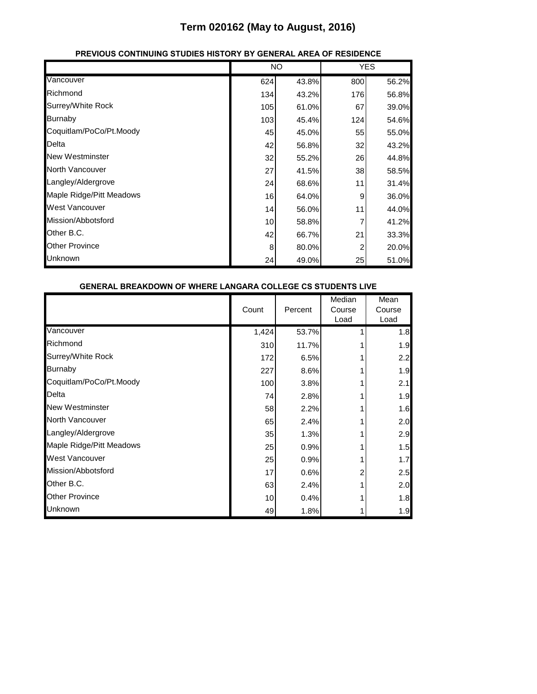|                          |     | <b>NO</b> |            | <b>YES</b> |
|--------------------------|-----|-----------|------------|------------|
| Vancouver                | 624 | 43.8%     | 800        | 56.2%      |
| Richmond                 | 134 | 43.2%     | <b>176</b> | 56.8%      |
| Surrey/White Rock        | 105 | 61.0%     | 67         | 39.0%      |
| <b>Burnaby</b>           | 103 | 45.4%     | 124        | 54.6%      |
| Coquitlam/PoCo/Pt.Moody  | 45  | 45.0%     | 55         | 55.0%      |
| Delta                    | 42  | 56.8%     | 32         | 43.2%      |
| <b>New Westminster</b>   | 32  | 55.2%     | 26         | 44.8%      |
| <b>North Vancouver</b>   | 27  | 41.5%     | 38         | 58.5%      |
| Langley/Aldergrove       | 24  | 68.6%     | 11         | 31.4%      |
| Maple Ridge/Pitt Meadows | 16  | 64.0%     | 9          | 36.0%      |
| West Vancouver           | 14  | 56.0%     | 11         | 44.0%      |
| Mission/Abbotsford       | 10  | 58.8%     |            | 41.2%      |
| Other B.C.               | 42  | 66.7%     | 21         | 33.3%      |
| <b>Other Province</b>    | 8   | 80.0%     | 2          | 20.0%      |
| <b>Unknown</b>           | 24  | 49.0%     | 25         | 51.0%      |

#### **PREVIOUS CONTINUING STUDIES HISTORY BY GENERAL AREA OF RESIDENCE**

| GENERAL BREARDOWN OF WHERE LANGARA COLLEGE CS STUDENTS LIVE |       |         |                          |                        |
|-------------------------------------------------------------|-------|---------|--------------------------|------------------------|
|                                                             | Count | Percent | Median<br>Course<br>Load | Mean<br>Course<br>Load |
| Vancouver                                                   | 1,424 | 53.7%   |                          | 1.8                    |
| Richmond                                                    | 310   | 11.7%   |                          | 1.9                    |
| Surrey/White Rock                                           | 172   | 6.5%    |                          | 2.2                    |
| <b>Burnaby</b>                                              | 227   | 8.6%    |                          | 1.9                    |
| Coquitlam/PoCo/Pt.Moody                                     | 100   | 3.8%    |                          | 2.1                    |
| Delta                                                       | 74    | 2.8%    |                          | 1.9                    |
| <b>New Westminster</b>                                      | 58    | 2.2%    |                          | 1.6                    |
| <b>North Vancouver</b>                                      | 65    | 2.4%    |                          | 2.0                    |
| Langley/Aldergrove                                          | 35    | 1.3%    |                          | 2.9                    |
| Maple Ridge/Pitt Meadows                                    | 25    | 0.9%    |                          | 1.5                    |
| <b>West Vancouver</b>                                       | 25    | 0.9%    |                          | 1.7                    |
| Mission/Abbotsford                                          | 17    | 0.6%    | 2                        | 2.5                    |
| Other B.C.                                                  | 63    | 2.4%    |                          | 2.0                    |
| <b>Other Province</b>                                       | 10    | 0.4%    |                          | 1.8                    |
| Unknown                                                     | 49    | 1.8%    |                          | 1.9                    |

#### **GENERAL BREAKDOWN OF WHERE LANGARA COLLEGE CS STUDENTS LIVE**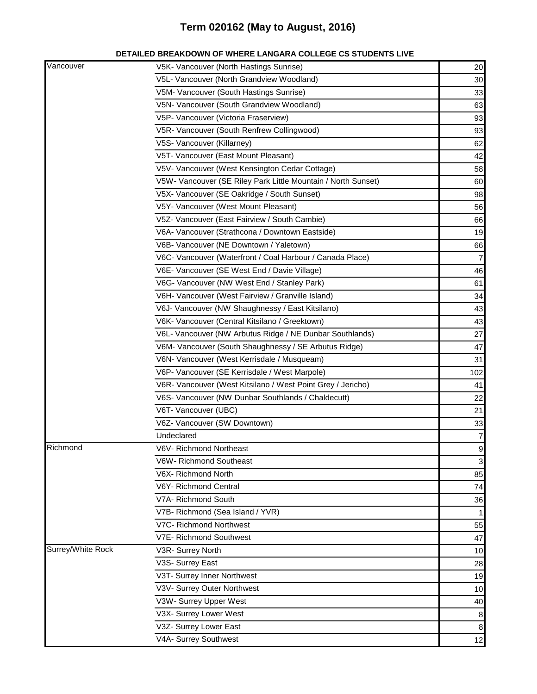| DETAILED BREAKDOWN OF WHERE LANGARA COLLEGE CS STUDENTS LIVE |
|--------------------------------------------------------------|
|--------------------------------------------------------------|

| Vancouver         | V5K- Vancouver (North Hastings Sunrise)                       | 20             |
|-------------------|---------------------------------------------------------------|----------------|
|                   | V5L- Vancouver (North Grandview Woodland)                     | 30             |
|                   | V5M- Vancouver (South Hastings Sunrise)                       | 33             |
|                   | V5N- Vancouver (South Grandview Woodland)                     | 63             |
|                   | V5P- Vancouver (Victoria Fraserview)                          | 93             |
|                   | V5R- Vancouver (South Renfrew Collingwood)                    | 93             |
|                   | V5S- Vancouver (Killarney)                                    | 62             |
|                   | V5T- Vancouver (East Mount Pleasant)                          | 42             |
|                   | V5V- Vancouver (West Kensington Cedar Cottage)                | 58             |
|                   | V5W- Vancouver (SE Riley Park Little Mountain / North Sunset) | 60             |
|                   | V5X- Vancouver (SE Oakridge / South Sunset)                   | 98             |
|                   | V5Y- Vancouver (West Mount Pleasant)                          | 56             |
|                   | V5Z- Vancouver (East Fairview / South Cambie)                 | 66             |
|                   | V6A- Vancouver (Strathcona / Downtown Eastside)               | 19             |
|                   | V6B- Vancouver (NE Downtown / Yaletown)                       | 66             |
|                   | V6C- Vancouver (Waterfront / Coal Harbour / Canada Place)     | $\overline{7}$ |
|                   | V6E- Vancouver (SE West End / Davie Village)                  | 46             |
|                   | V6G- Vancouver (NW West End / Stanley Park)                   | 61             |
|                   | V6H- Vancouver (West Fairview / Granville Island)             | 34             |
|                   | V6J- Vancouver (NW Shaughnessy / East Kitsilano)              | 43             |
|                   | V6K- Vancouver (Central Kitsilano / Greektown)                | 43             |
|                   | V6L- Vancouver (NW Arbutus Ridge / NE Dunbar Southlands)      | 27             |
|                   | V6M- Vancouver (South Shaughnessy / SE Arbutus Ridge)         | 47             |
|                   | V6N- Vancouver (West Kerrisdale / Musqueam)                   | 31             |
|                   | V6P- Vancouver (SE Kerrisdale / West Marpole)                 | 102            |
|                   | V6R- Vancouver (West Kitsilano / West Point Grey / Jericho)   | 41             |
|                   | V6S- Vancouver (NW Dunbar Southlands / Chaldecutt)            | 22             |
|                   | V6T- Vancouver (UBC)                                          | 21             |
|                   | V6Z- Vancouver (SW Downtown)                                  | 33             |
|                   | Undeclared                                                    | $\overline{7}$ |
| Richmond          | V6V- Richmond Northeast                                       | $\overline{9}$ |
|                   | V6W- Richmond Southeast                                       | $\mathbf{3}$   |
|                   | V6X- Richmond North                                           | 85             |
|                   | V6Y- Richmond Central                                         | 74             |
|                   | V7A- Richmond South                                           | 36             |
|                   | V7B- Richmond (Sea Island / YVR)                              | 1              |
|                   | V7C- Richmond Northwest                                       | 55             |
|                   | V7E- Richmond Southwest                                       | 47             |
| Surrey/White Rock | V3R- Surrey North                                             | 10             |
|                   | V3S- Surrey East                                              | 28             |
|                   | V3T- Surrey Inner Northwest                                   | 19             |
|                   | V3V- Surrey Outer Northwest                                   | 10             |
|                   | V3W- Surrey Upper West                                        | 40             |
|                   | V3X- Surrey Lower West                                        | 8              |
|                   | V3Z- Surrey Lower East                                        | 8              |
|                   | V4A- Surrey Southwest                                         | 12             |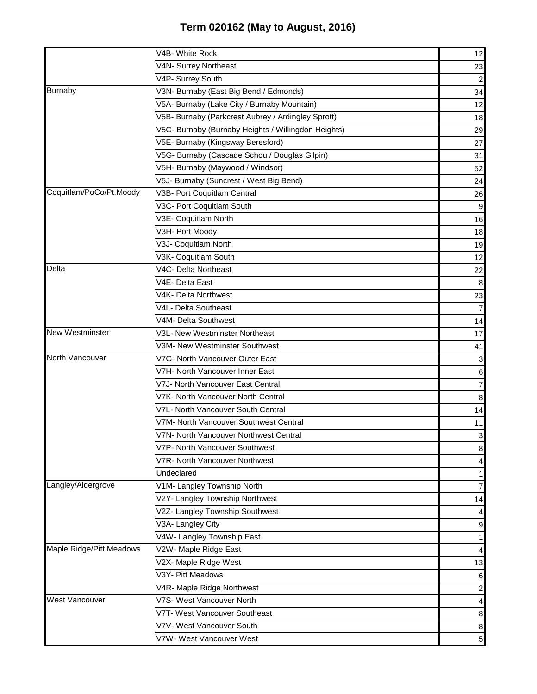|                          | V4B- White Rock                                     | 12              |
|--------------------------|-----------------------------------------------------|-----------------|
|                          | V4N- Surrey Northeast                               | 23              |
|                          | V4P- Surrey South                                   | 2               |
| <b>Burnaby</b>           | V3N- Burnaby (East Big Bend / Edmonds)              | 34              |
|                          | V5A- Burnaby (Lake City / Burnaby Mountain)         | 12              |
|                          | V5B- Burnaby (Parkcrest Aubrey / Ardingley Sprott)  | 18              |
|                          | V5C- Burnaby (Burnaby Heights / Willingdon Heights) | 29              |
|                          | V5E- Burnaby (Kingsway Beresford)                   | 27              |
|                          | V5G- Burnaby (Cascade Schou / Douglas Gilpin)       | 31              |
|                          | V5H- Burnaby (Maywood / Windsor)                    | 52              |
|                          | V5J- Burnaby (Suncrest / West Big Bend)             | 24              |
| Coquitlam/PoCo/Pt.Moody  | V3B- Port Coquitlam Central                         | 26              |
|                          | V3C- Port Coquitlam South                           | 9               |
|                          | V3E- Coquitlam North                                | 16              |
|                          | V3H- Port Moody                                     | 18              |
|                          | V3J- Coquitlam North                                | 19              |
|                          | V3K- Coquitlam South                                | 12              |
| Delta                    | V4C- Delta Northeast                                | 22              |
|                          | V4E- Delta East                                     | 8               |
|                          | V4K- Delta Northwest                                | 23              |
|                          | V4L- Delta Southeast                                | $\overline{7}$  |
|                          | V4M- Delta Southwest                                | 14              |
| New Westminster          | V3L- New Westminster Northeast                      | 17              |
|                          | V3M- New Westminster Southwest                      | 41              |
| North Vancouver          | V7G- North Vancouver Outer East                     | 3               |
|                          | V7H- North Vancouver Inner East                     | 6               |
|                          | V7J- North Vancouver East Central                   | 7               |
|                          | V7K- North Vancouver North Central                  | 8               |
|                          | V7L- North Vancouver South Central                  | 14              |
|                          | V7M- North Vancouver Southwest Central              | 11              |
|                          | V7N- North Vancouver Northwest Central              | 3               |
|                          | V7P- North Vancouver Southwest                      | 8               |
|                          | V7R- North Vancouver Northwest                      | 4               |
|                          | Undeclared                                          | 1               |
| Langley/Aldergrove       | V1M- Langley Township North                         | 7               |
|                          | V2Y- Langley Township Northwest                     | 14              |
|                          | V2Z- Langley Township Southwest                     | 4               |
|                          | V3A- Langley City                                   | 9               |
|                          | V4W- Langley Township East                          | 1               |
| Maple Ridge/Pitt Meadows | V2W- Maple Ridge East                               | $\overline{4}$  |
|                          | V2X- Maple Ridge West                               | 13              |
|                          | V3Y- Pitt Meadows                                   | 6               |
|                          | V4R- Maple Ridge Northwest                          | $\overline{c}$  |
| West Vancouver           | V7S- West Vancouver North                           | $\frac{4}{ }$   |
|                          | V7T- West Vancouver Southeast                       | 8               |
|                          | V7V- West Vancouver South                           | 8               |
|                          | V7W- West Vancouver West                            | $5\overline{)}$ |